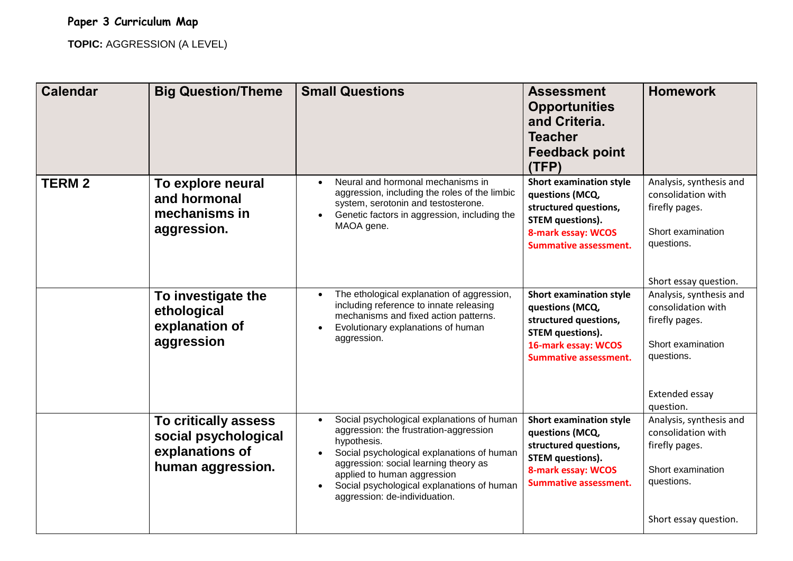**TOPIC:** AGGRESSION (A LEVEL)

| <b>Calendar</b> | <b>Big Question/Theme</b>                                                            | <b>Small Questions</b>                                                                                                                                                                                                                                                                                   | <b>Assessment</b><br><b>Opportunities</b><br>and Criteria.<br><b>Teacher</b><br><b>Feedback point</b><br>(TFP)                                               | <b>Homework</b>                                                                                                                   |
|-----------------|--------------------------------------------------------------------------------------|----------------------------------------------------------------------------------------------------------------------------------------------------------------------------------------------------------------------------------------------------------------------------------------------------------|--------------------------------------------------------------------------------------------------------------------------------------------------------------|-----------------------------------------------------------------------------------------------------------------------------------|
| <b>TERM2</b>    | To explore neural<br>and hormonal<br>mechanisms in<br>aggression.                    | Neural and hormonal mechanisms in<br>$\bullet$<br>aggression, including the roles of the limbic<br>system, serotonin and testosterone.<br>Genetic factors in aggression, including the<br>MAOA gene.                                                                                                     | <b>Short examination style</b><br>questions (MCQ,<br>structured questions,<br><b>STEM questions).</b><br>8-mark essay: WCOS<br><b>Summative assessment.</b>  | Analysis, synthesis and<br>consolidation with<br>firefly pages.<br>Short examination<br>questions.<br>Short essay question.       |
|                 | To investigate the<br>ethological<br>explanation of<br>aggression                    | The ethological explanation of aggression,<br>including reference to innate releasing<br>mechanisms and fixed action patterns.<br>Evolutionary explanations of human<br>aggression.                                                                                                                      | <b>Short examination style</b><br>questions (MCQ,<br>structured questions,<br><b>STEM questions).</b><br>16-mark essay: WCOS<br><b>Summative assessment.</b> | Analysis, synthesis and<br>consolidation with<br>firefly pages.<br>Short examination<br>questions.<br>Extended essay<br>question. |
|                 | To critically assess<br>social psychological<br>explanations of<br>human aggression. | Social psychological explanations of human<br>aggression: the frustration-aggression<br>hypothesis.<br>Social psychological explanations of human<br>aggression: social learning theory as<br>applied to human aggression<br>Social psychological explanations of human<br>aggression: de-individuation. | <b>Short examination style</b><br>questions (MCQ,<br>structured questions,<br><b>STEM questions).</b><br>8-mark essay: WCOS<br><b>Summative assessment.</b>  | Analysis, synthesis and<br>consolidation with<br>firefly pages.<br>Short examination<br>questions.<br>Short essay question.       |